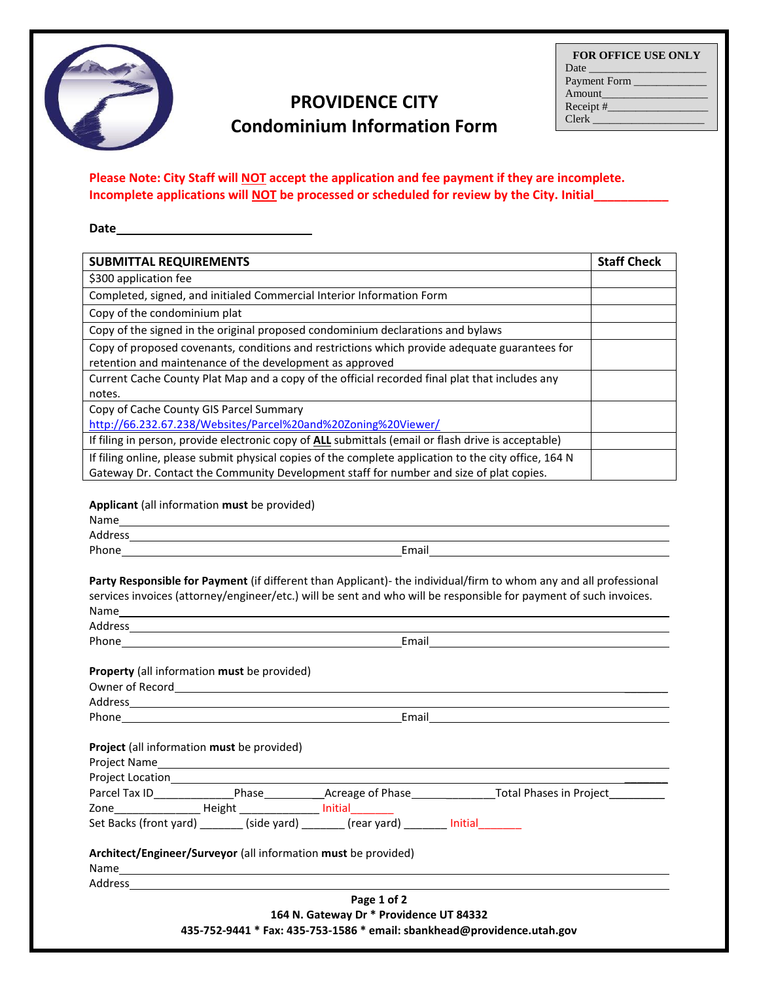

## **PROVIDENCE CITY Condominium Information Form**

| <b>FOR OFFICE USE ONLY</b>        |
|-----------------------------------|
| Date <u>and the second second</u> |
| Payment Form ___                  |
| Amount                            |
| Receipt $#$                       |
| <b>Clerk</b>                      |
|                                   |

## **Please Note: City Staff will NOT accept the application and fee payment if they are incomplete. Incomplete applications will NOT be processed or scheduled for review by the City. Initial\_\_\_\_\_\_\_\_\_\_\_**

**Date**

| <b>SUBMITTAL REQUIREMENTS</b>                                                                              | <b>Staff Check</b> |
|------------------------------------------------------------------------------------------------------------|--------------------|
| \$300 application fee                                                                                      |                    |
| Completed, signed, and initialed Commercial Interior Information Form                                      |                    |
| Copy of the condominium plat                                                                               |                    |
| Copy of the signed in the original proposed condominium declarations and bylaws                            |                    |
| Copy of proposed covenants, conditions and restrictions which provide adequate guarantees for              |                    |
| retention and maintenance of the development as approved                                                   |                    |
| Current Cache County Plat Map and a copy of the official recorded final plat that includes any             |                    |
| notes.                                                                                                     |                    |
| Copy of Cache County GIS Parcel Summary                                                                    |                    |
| http://66.232.67.238/Websites/Parcel%20and%20Zoning%20Viewer/                                              |                    |
| If filing in person, provide electronic copy of <b>ALL</b> submittals (email or flash drive is acceptable) |                    |
| If filing online, please submit physical copies of the complete application to the city office, 164 N      |                    |
| Gateway Dr. Contact the Community Development staff for number and size of plat copies.                    |                    |

**Applicant** (all information **must** be provided)

|                                                          |  |                                                                                                                                                                                                                                | Party Responsible for Payment (if different than Applicant)- the individual/firm to whom any and all professional |  |  |
|----------------------------------------------------------|--|--------------------------------------------------------------------------------------------------------------------------------------------------------------------------------------------------------------------------------|-------------------------------------------------------------------------------------------------------------------|--|--|
|                                                          |  |                                                                                                                                                                                                                                | services invoices (attorney/engineer/etc.) will be sent and who will be responsible for payment of such invoices. |  |  |
|                                                          |  |                                                                                                                                                                                                                                |                                                                                                                   |  |  |
|                                                          |  |                                                                                                                                                                                                                                |                                                                                                                   |  |  |
|                                                          |  |                                                                                                                                                                                                                                |                                                                                                                   |  |  |
| <b>Property</b> (all information must be provided)       |  |                                                                                                                                                                                                                                |                                                                                                                   |  |  |
|                                                          |  |                                                                                                                                                                                                                                |                                                                                                                   |  |  |
|                                                          |  |                                                                                                                                                                                                                                |                                                                                                                   |  |  |
|                                                          |  |                                                                                                                                                                                                                                |                                                                                                                   |  |  |
|                                                          |  |                                                                                                                                                                                                                                |                                                                                                                   |  |  |
| <b>Project</b> (all information <b>must</b> be provided) |  |                                                                                                                                                                                                                                |                                                                                                                   |  |  |
|                                                          |  |                                                                                                                                                                                                                                |                                                                                                                   |  |  |
|                                                          |  |                                                                                                                                                                                                                                |                                                                                                                   |  |  |
|                                                          |  |                                                                                                                                                                                                                                |                                                                                                                   |  |  |
|                                                          |  | Zone__________________ Height ________________ Initial________                                                                                                                                                                 |                                                                                                                   |  |  |
|                                                          |  | Set Backs (front yard) _______ (side yard) _______ (rear yard) _______ Initial _______                                                                                                                                         |                                                                                                                   |  |  |
|                                                          |  | Architect/Engineer/Surveyor (all information must be provided)                                                                                                                                                                 |                                                                                                                   |  |  |
|                                                          |  |                                                                                                                                                                                                                                |                                                                                                                   |  |  |
|                                                          |  | Address and the contract of the contract of the contract of the contract of the contract of the contract of the contract of the contract of the contract of the contract of the contract of the contract of the contract of th |                                                                                                                   |  |  |
|                                                          |  | Page 1 of 2                                                                                                                                                                                                                    |                                                                                                                   |  |  |
|                                                          |  | 164 N. Gateway Dr * Providence UT 84332                                                                                                                                                                                        |                                                                                                                   |  |  |
|                                                          |  | 435-752-9441 * Fax: 435-753-1586 * email: sbankhead@providence.utah.gov                                                                                                                                                        |                                                                                                                   |  |  |